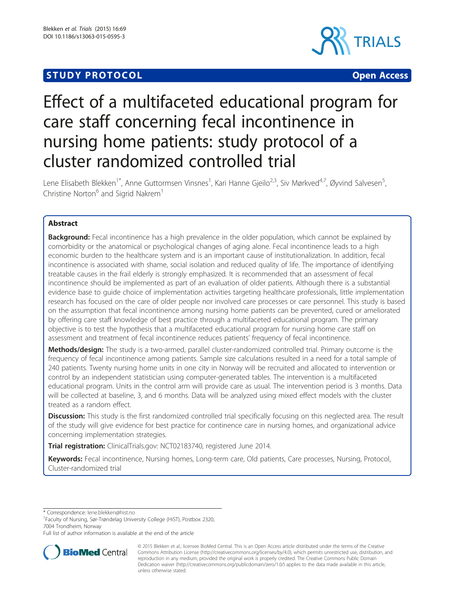# **STUDY PROTOCOL CONSUMING THE RESERVE ACCESS**



# Effect of a multifaceted educational program for care staff concerning fecal incontinence in nursing home patients: study protocol of a cluster randomized controlled trial

Lene Elisabeth Blekken<sup>1\*</sup>, Anne Guttormsen Vinsnes<sup>1</sup>, Kari Hanne Gjeilo<sup>2,3</sup>, Siv Mørkved<sup>4,7</sup>, Øyvind Salvesen<sup>5</sup> , Christine Norton $^6$  and Sigrid Nakrem<sup>1</sup>

# Abstract

Background: Fecal incontinence has a high prevalence in the older population, which cannot be explained by comorbidity or the anatomical or psychological changes of aging alone. Fecal incontinence leads to a high economic burden to the healthcare system and is an important cause of institutionalization. In addition, fecal incontinence is associated with shame, social isolation and reduced quality of life. The importance of identifying treatable causes in the frail elderly is strongly emphasized. It is recommended that an assessment of fecal incontinence should be implemented as part of an evaluation of older patients. Although there is a substantial evidence base to guide choice of implementation activities targeting healthcare professionals, little implementation research has focused on the care of older people nor involved care processes or care personnel. This study is based on the assumption that fecal incontinence among nursing home patients can be prevented, cured or ameliorated by offering care staff knowledge of best practice through a multifaceted educational program. The primary objective is to test the hypothesis that a multifaceted educational program for nursing home care staff on assessment and treatment of fecal incontinence reduces patients' frequency of fecal incontinence.

Methods/design: The study is a two-armed, parallel cluster-randomized controlled trial. Primary outcome is the frequency of fecal incontinence among patients. Sample size calculations resulted in a need for a total sample of 240 patients. Twenty nursing home units in one city in Norway will be recruited and allocated to intervention or control by an independent statistician using computer-generated tables. The intervention is a multifaceted educational program. Units in the control arm will provide care as usual. The intervention period is 3 months. Data will be collected at baseline, 3, and 6 months. Data will be analyzed using mixed effect models with the cluster treated as a random effect.

Discussion: This study is the first randomized controlled trial specifically focusing on this neglected area. The result of the study will give evidence for best practice for continence care in nursing homes, and organizational advice concerning implementation strategies.

Trial registration: ClinicalTrials.gov: [NCT02183740,](https://clinicaltrials.gov/ct2/show/NCT02183740?term=blekken&rank=1) registered June 2014.

Keywords: Fecal incontinence, Nursing homes, Long-term care, Old patients, Care processes, Nursing, Protocol, Cluster-randomized trial

\* Correspondence: [lene.blekken@hist.no](mailto:lene.blekken@hist.no) <sup>1</sup>

<sup>1</sup>Faculty of Nursing, Sør-Trøndelag University College (HiST), Postbox 2320, 7004 Trondheim, Norway

Full list of author information is available at the end of the article



<sup>© 2015</sup> Blekken et al.; licensee BioMed Central. This is an Open Access article distributed under the terms of the Creative Commons Attribution License [\(http://creativecommons.org/licenses/by/4.0\)](http://creativecommons.org/licenses/by/4.0), which permits unrestricted use, distribution, and reproduction in any medium, provided the original work is properly credited. The Creative Commons Public Domain Dedication waiver [\(http://creativecommons.org/publicdomain/zero/1.0/](http://creativecommons.org/publicdomain/zero/1.0/)) applies to the data made available in this article, unless otherwise stated.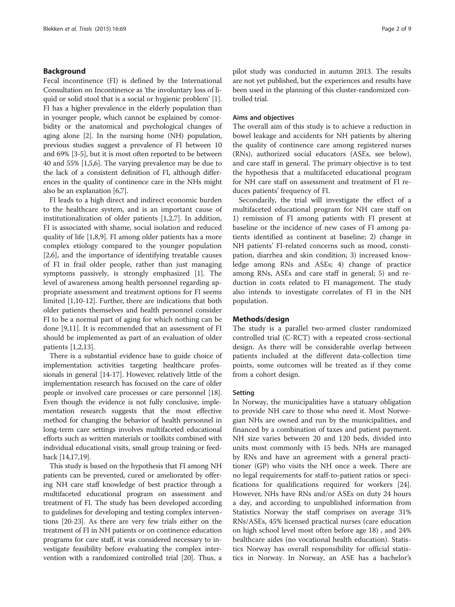# Background

Fecal incontinence (FI) is defined by the International Consultation on Incontinence as 'the involuntary loss of liquid or solid stool that is a social or hygienic problem' [[1](#page-7-0)]. FI has a higher prevalence in the elderly population than in younger people, which cannot be explained by comorbidity or the anatomical and psychological changes of aging alone [\[2\]](#page-7-0). In the nursing home (NH) population, previous studies suggest a prevalence of FI between 10 and 69% [[3-5\]](#page-7-0), but it is most often reported to be between 40 and 55% [[1,5,6](#page-7-0)]. The varying prevalence may be due to the lack of a consistent definition of FI, although differences in the quality of continence care in the NHs might also be an explanation [\[6,7\]](#page-7-0).

FI leads to a high direct and indirect economic burden to the healthcare system, and is an important cause of institutionalization of older patients [[1,2,7\]](#page-7-0). In addition, FI is associated with shame, social isolation and reduced quality of life [[1,8,9\]](#page-7-0). FI among older patients has a more complex etiology compared to the younger population [[2,6\]](#page-7-0), and the importance of identifying treatable causes of FI in frail older people, rather than just managing symptoms passively, is strongly emphasized [[1\]](#page-7-0). The level of awareness among health personnel regarding appropriate assessment and treatment options for FI seems limited [[1](#page-7-0),[10-12\]](#page-7-0). Further, there are indications that both older patients themselves and health personnel consider FI to be a normal part of aging for which nothing can be done [\[9,11](#page-7-0)]. It is recommended that an assessment of FI should be implemented as part of an evaluation of older patients [\[1,2,13\]](#page-7-0).

There is a substantial evidence base to guide choice of implementation activities targeting healthcare professionals in general [\[14-17\]](#page-7-0). However, relatively little of the implementation research has focused on the care of older people or involved care processes or care personnel [[18](#page-7-0)]. Even though the evidence is not fully conclusive, implementation research suggests that the most effective method for changing the behavior of health personnel in long-term care settings involves multifaceted educational efforts such as written materials or toolkits combined with individual educational visits, small group training or feedback [[14,17,19\]](#page-7-0).

This study is based on the hypothesis that FI among NH patients can be prevented, cured or ameliorated by offering NH care staff knowledge of best practice through a multifaceted educational program on assessment and treatment of FI. The study has been developed according to guidelines for developing and testing complex interventions [[20](#page-7-0)-[23](#page-7-0)]. As there are very few trials either on the treatment of FI in NH patients or on continence education programs for care staff, it was considered necessary to investigate feasibility before evaluating the complex intervention with a randomized controlled trial [\[20\]](#page-7-0). Thus, a pilot study was conducted in autumn 2013. The results are not yet published, but the experiences and results have been used in the planning of this cluster-randomized controlled trial.

#### Aims and objectives

The overall aim of this study is to achieve a reduction in bowel leakage and accidents for NH patients by altering the quality of continence care among registered nurses (RNs), authorized social educators (ASEs, see below), and care staff in general. The primary objective is to test the hypothesis that a multifaceted educational program for NH care staff on assessment and treatment of FI reduces patients' frequency of FI.

Secondarily, the trial will investigate the effect of a multifaceted educational program for NH care staff on 1) remission of FI among patients with FI present at baseline or the incidence of new cases of FI among patients identified as continent at baseline; 2) change in NH patients' FI-related concerns such as mood, constipation, diarrhea and skin condition; 3) increased knowledge among RNs and ASEs; 4) change of practice among RNs, ASEs and care staff in general; 5) and reduction in costs related to FI management. The study also intends to investigate correlates of FI in the NH population.

### Methods/design

The study is a parallel two-armed cluster randomized controlled trial (C-RCT) with a repeated cross-sectional design. As there will be considerable overlap between patients included at the different data-collection time points, some outcomes will be treated as if they come from a cohort design.

#### Setting

In Norway, the municipalities have a statuary obligation to provide NH care to those who need it. Most Norwegian NHs are owned and run by the municipalities, and financed by a combination of taxes and patient payment. NH size varies between 20 and 120 beds, divided into units most commonly with 15 beds. NHs are managed by RNs and have an agreement with a general practitioner (GP) who visits the NH once a week. There are no legal requirements for staff-to-patient ratios or specifications for qualifications required for workers [\[24](#page-7-0)]. However, NHs have RNs and/or ASEs on duty 24 hours a day, and according to unpublished information from Statistics Norway the staff comprises on average 31% RNs/ASEs, 45% licensed practical nurses (care education on high school level most often before age 18) , and 24% healthcare aides (no vocational health education). Statistics Norway has overall responsibility for official statistics in Norway. In Norway, an ASE has a bachelor's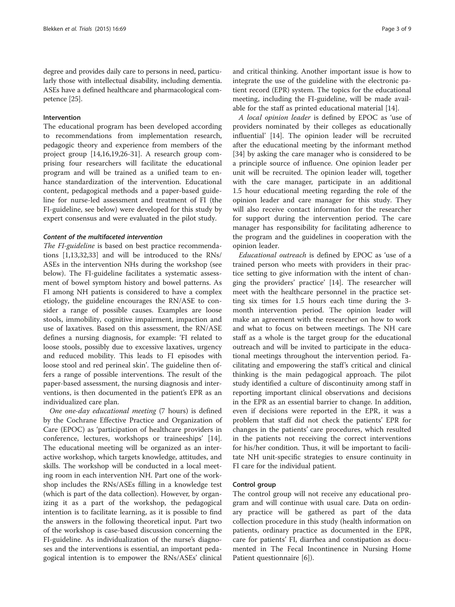# Intervention

The educational program has been developed according to recommendations from implementation research, pedagogic theory and experience from members of the project group [[14](#page-7-0),[16,19,26](#page-7-0)-[31\]](#page-7-0). A research group comprising four researchers will facilitate the educational program and will be trained as a unified team to enhance standardization of the intervention. Educational content, pedagogical methods and a paper-based guideline for nurse-led assessment and treatment of FI (the FI-guideline, see below) were developed for this study by expert consensus and were evaluated in the pilot study.

# Content of the multifaceted intervention

The FI-guideline is based on best practice recommendations [\[1,13,32,33\]](#page-7-0) and will be introduced to the RNs/ ASEs in the intervention NHs during the workshop (see below). The FI-guideline facilitates a systematic assessment of bowel symptom history and bowel patterns. As FI among NH patients is considered to have a complex etiology, the guideline encourages the RN/ASE to consider a range of possible causes. Examples are loose stools, immobility, cognitive impairment, impaction and use of laxatives. Based on this assessment, the RN/ASE defines a nursing diagnosis, for example: 'FI related to loose stools, possibly due to excessive laxatives, urgency and reduced mobility. This leads to FI episodes with loose stool and red perineal skin'. The guideline then offers a range of possible interventions. The result of the paper-based assessment, the nursing diagnosis and interventions, is then documented in the patient's EPR as an individualized care plan.

One one-day educational meeting (7 hours) is defined by the Cochrane Effective Practice and Organization of Care (EPOC) as 'participation of healthcare providers in conference, lectures, workshops or traineeships' [\[14](#page-7-0)]. The educational meeting will be organized as an interactive workshop, which targets knowledge, attitudes, and skills. The workshop will be conducted in a local meeting room in each intervention NH. Part one of the workshop includes the RNs/ASEs filling in a knowledge test (which is part of the data collection). However, by organizing it as a part of the workshop, the pedagogical intention is to facilitate learning, as it is possible to find the answers in the following theoretical input. Part two of the workshop is case-based discussion concerning the FI-guideline. As individualization of the nurse's diagnoses and the interventions is essential, an important pedagogical intention is to empower the RNs/ASEs' clinical

and critical thinking. Another important issue is how to integrate the use of the guideline with the electronic patient record (EPR) system. The topics for the educational meeting, including the FI-guideline, will be made available for the staff as printed educational material [[14\]](#page-7-0).

A local opinion leader is defined by EPOC as 'use of providers nominated by their colleges as educationally influential' [[14](#page-7-0)]. The opinion leader will be recruited after the educational meeting by the informant method [[34\]](#page-7-0) by asking the care manager who is considered to be a principle source of influence. One opinion leader per unit will be recruited. The opinion leader will, together with the care manager, participate in an additional 1.5 hour educational meeting regarding the role of the opinion leader and care manager for this study. They will also receive contact information for the researcher for support during the intervention period. The care manager has responsibility for facilitating adherence to the program and the guidelines in cooperation with the opinion leader.

Educational outreach is defined by EPOC as 'use of a trained person who meets with providers in their practice setting to give information with the intent of changing the providers' practice' [\[14](#page-7-0)]. The researcher will meet with the healthcare personnel in the practice setting six times for 1.5 hours each time during the 3 month intervention period. The opinion leader will make an agreement with the researcher on how to work and what to focus on between meetings. The NH care staff as a whole is the target group for the educational outreach and will be invited to participate in the educational meetings throughout the intervention period. Facilitating and empowering the staff's critical and clinical thinking is the main pedagogical approach. The pilot study identified a culture of discontinuity among staff in reporting important clinical observations and decisions in the EPR as an essential barrier to change. In addition, even if decisions were reported in the EPR, it was a problem that staff did not check the patients' EPR for changes in the patients' care procedures, which resulted in the patients not receiving the correct interventions for his/her condition. Thus, it will be important to facilitate NH unit-specific strategies to ensure continuity in FI care for the individual patient.

#### Control group

The control group will not receive any educational program and will continue with usual care. Data on ordinary practice will be gathered as part of the data collection procedure in this study (health information on patients, ordinary practice as documented in the EPR, care for patients' FI, diarrhea and constipation as documented in The Fecal Incontinence in Nursing Home Patient questionnaire [[6\]](#page-7-0)).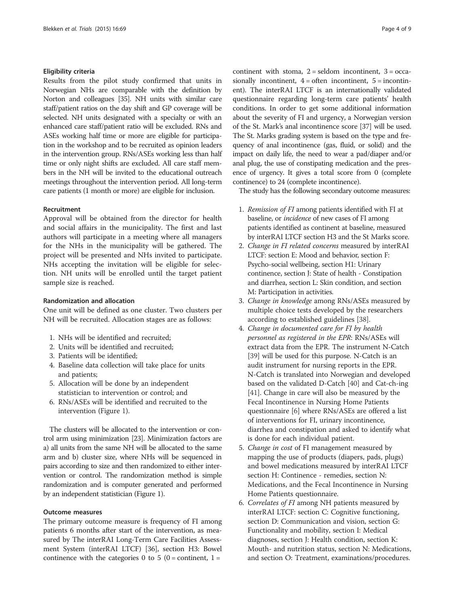#### Eligibility criteria

Results from the pilot study confirmed that units in Norwegian NHs are comparable with the definition by Norton and colleagues [[35\]](#page-7-0). NH units with similar care staff/patient ratios on the day shift and GP coverage will be selected. NH units designated with a specialty or with an enhanced care staff/patient ratio will be excluded. RNs and ASEs working half time or more are eligible for participation in the workshop and to be recruited as opinion leaders in the intervention group. RNs/ASEs working less than half time or only night shifts are excluded. All care staff members in the NH will be invited to the educational outreach meetings throughout the intervention period. All long-term care patients (1 month or more) are eligible for inclusion.

#### Recruitment

Approval will be obtained from the director for health and social affairs in the municipality. The first and last authors will participate in a meeting where all managers for the NHs in the municipality will be gathered. The project will be presented and NHs invited to participate. NHs accepting the invitation will be eligible for selection. NH units will be enrolled until the target patient sample size is reached.

#### Randomization and allocation

One unit will be defined as one cluster. Two clusters per NH will be recruited. Allocation stages are as follows:

- 1. NHs will be identified and recruited;
- 2. Units will be identified and recruited;
- 3. Patients will be identified;
- 4. Baseline data collection will take place for units and patients;
- 5. Allocation will be done by an independent statistician to intervention or control; and
- 6. RNs/ASEs will be identified and recruited to the intervention (Figure [1\)](#page-4-0).

The clusters will be allocated to the intervention or control arm using minimization [\[23\]](#page-7-0). Minimization factors are a) all units from the same NH will be allocated to the same arm and b) cluster size, where NHs will be sequenced in pairs according to size and then randomized to either intervention or control. The randomization method is simple randomization and is computer generated and performed by an independent statistician (Figure [1\)](#page-4-0).

#### Outcome measures

The primary outcome measure is frequency of FI among patients 6 months after start of the intervention, as measured by The interRAI Long-Term Care Facilities Assessment System (interRAI LTCF) [\[36\]](#page-7-0), section H3: Bowel continence with the categories 0 to 5 (0 = continent,  $1 =$ 

continent with stoma,  $2 =$  seldom incontinent,  $3 =$  occasionally incontinent,  $4 =$  often incontinent,  $5 =$  incontinent). The interRAI LTCF is an internationally validated questionnaire regarding long-term care patients' health conditions. In order to get some additional information about the severity of FI and urgency, a Norwegian version of the St. Mark's anal incontinence score [\[37\]](#page-7-0) will be used. The St. Marks grading system is based on the type and frequency of anal incontinence (gas, fluid, or solid) and the impact on daily life, the need to wear a pad/diaper and/or anal plug, the use of constipating medication and the presence of urgency. It gives a total score from 0 (complete continence) to 24 (complete incontinence).

The study has the following secondary outcome measures:

- 1. Remission of FI among patients identified with FI at baseline, or incidence of new cases of FI among patients identified as continent at baseline, measured by interRAI LTCF section H3 and the St Marks score.
- 2. Change in FI related concerns measured by interRAI LTCF: section E: Mood and behavior, section F: Psycho-social wellbeing, section H1: Urinary continence, section J: State of health - Constipation and diarrhea, section L: Skin condition, and section M: Participation in activities.
- 3. Change in knowledge among RNs/ASEs measured by multiple choice tests developed by the researchers according to established guidelines [\[38\]](#page-7-0).
- 4. Change in documented care for FI by health personnel as registered in the EPR: RNs/ASEs will extract data from the EPR. The instrument N-Catch [[39](#page-7-0)] will be used for this purpose. N-Catch is an audit instrument for nursing reports in the EPR. N-Catch is translated into Norwegian and developed based on the validated D-Catch [\[40\]](#page-7-0) and Cat-ch-ing [[41](#page-8-0)]. Change in care will also be measured by the Fecal Incontinence in Nursing Home Patients questionnaire [[6\]](#page-7-0) where RNs/ASEs are offered a list of interventions for FI, urinary incontinence, diarrhea and constipation and asked to identify what is done for each individual patient.
- 5. Change in cost of FI management measured by mapping the use of products (diapers, pads, plugs) and bowel medications measured by interRAI LTCF section H: Continence - remedies, section N: Medications, and the Fecal Incontinence in Nursing Home Patients questionnaire.
- 6. Correlates of FI among NH patients measured by interRAI LTCF: section C: Cognitive functioning, section D: Communication and vision, section G: Functionality and mobility, section I: Medical diagnoses, section J: Health condition, section K: Mouth- and nutrition status, section N: Medications, and section O: Treatment, examinations/procedures.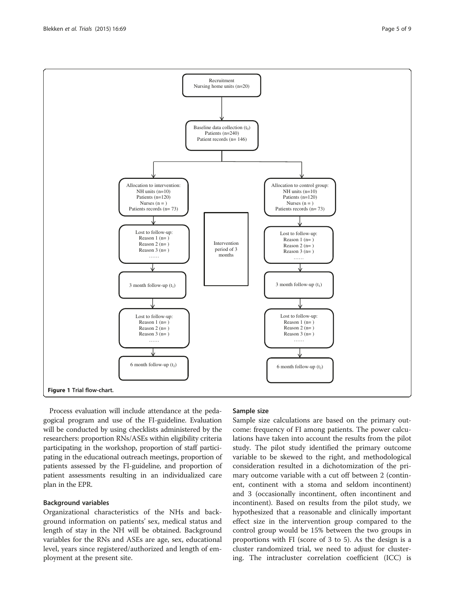Process evaluation will include attendance at the pedagogical program and use of the FI-guideline. Evaluation will be conducted by using checklists administered by the researchers: proportion RNs/ASEs within eligibility criteria participating in the workshop, proportion of staff participating in the educational outreach meetings, proportion of patients assessed by the FI-guideline, and proportion of patient assessments resulting in an individualized care plan in the EPR.

### Background variables

Organizational characteristics of the NHs and background information on patients' sex, medical status and length of stay in the NH will be obtained. Background variables for the RNs and ASEs are age, sex, educational level, years since registered/authorized and length of employment at the present site.

#### Sample size

Sample size calculations are based on the primary outcome: frequency of FI among patients. The power calculations have taken into account the results from the pilot study. The pilot study identified the primary outcome variable to be skewed to the right, and methodological consideration resulted in a dichotomization of the primary outcome variable with a cut off between 2 (continent, continent with a stoma and seldom incontinent) and 3 (occasionally incontinent, often incontinent and incontinent). Based on results from the pilot study, we hypothesized that a reasonable and clinically important effect size in the intervention group compared to the control group would be 15% between the two groups in proportions with FI (score of 3 to 5). As the design is a cluster randomized trial, we need to adjust for clustering. The intracluster correlation coefficient (ICC) is

<span id="page-4-0"></span>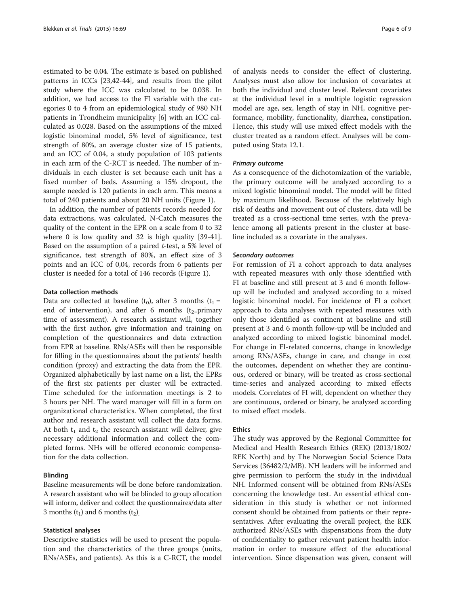estimated to be 0.04. The estimate is based on published patterns in ICCs [[23,](#page-7-0)[42-44\]](#page-8-0), and results from the pilot study where the ICC was calculated to be 0.038. In addition, we had access to the FI variable with the categories 0 to 4 from an epidemiological study of 980 NH patients in Trondheim municipality [\[6](#page-7-0)] with an ICC calculated as 0.028. Based on the assumptions of the mixed logistic binominal model, 5% level of significance, test strength of 80%, an average cluster size of 15 patients, and an ICC of 0.04, a study population of 103 patients in each arm of the C-RCT is needed. The number of individuals in each cluster is set because each unit has a fixed number of beds. Assuming a 15% dropout, the sample needed is 120 patients in each arm. This means a total of 240 patients and about 20 NH units (Figure [1\)](#page-4-0).

In addition, the number of patients records needed for data extractions, was calculated. N-Catch measures the quality of the content in the EPR on a scale from 0 to 32 where 0 is low quality and 32 is high quality [\[39](#page-7-0)[-41](#page-8-0)]. Based on the assumption of a paired  $t$ -test, a 5% level of significance, test strength of 80%, an effect size of 3 points and an ICC of 0,04, records from 6 patients per cluster is needed for a total of 146 records (Figure [1](#page-4-0)).

### Data collection methods

Data are collected at baseline (t<sub>0</sub>), after 3 months (t<sub>1</sub> = end of intervention), and after 6 months  $(t_2=$ primary time of assessment). A research assistant will, together with the first author, give information and training on completion of the questionnaires and data extraction from EPR at baseline. RNs/ASEs will then be responsible for filling in the questionnaires about the patients' health condition (proxy) and extracting the data from the EPR. Organized alphabetically by last name on a list, the EPRs of the first six patients per cluster will be extracted. Time scheduled for the information meetings is 2 to 3 hours per NH. The ward manager will fill in a form on organizational characteristics. When completed, the first author and research assistant will collect the data forms. At both  $t_1$  and  $t_2$  the research assistant will deliver, give necessary additional information and collect the completed forms. NHs will be offered economic compensation for the data collection.

#### Blinding

Baseline measurements will be done before randomization. A research assistant who will be blinded to group allocation will inform, deliver and collect the questionnaires/data after 3 months  $(t_1)$  and 6 months  $(t_2)$ .

#### Statistical analyses

Descriptive statistics will be used to present the population and the characteristics of the three groups (units, RNs/ASEs, and patients). As this is a C-RCT, the model

of analysis needs to consider the effect of clustering. Analyses must also allow for inclusion of covariates at both the individual and cluster level. Relevant covariates at the individual level in a multiple logistic regression model are age, sex, length of stay in NH, cognitive performance, mobility, functionality, diarrhea, constipation. Hence, this study will use mixed effect models with the cluster treated as a random effect. Analyses will be computed using Stata 12.1.

#### Primary outcome

As a consequence of the dichotomization of the variable, the primary outcome will be analyzed according to a mixed logistic binominal model. The model will be fitted by maximum likelihood. Because of the relatively high risk of deaths and movement out of clusters, data will be treated as a cross-sectional time series, with the prevalence among all patients present in the cluster at baseline included as a covariate in the analyses.

#### Secondary outcomes

For remission of FI a cohort approach to data analyses with repeated measures with only those identified with FI at baseline and still present at 3 and 6 month followup will be included and analyzed according to a mixed logistic binominal model. For incidence of FI a cohort approach to data analyses with repeated measures with only those identified as continent at baseline and still present at 3 and 6 month follow-up will be included and analyzed according to mixed logistic binominal model. For change in FI-related concerns, change in knowledge among RNs/ASEs, change in care, and change in cost the outcomes, dependent on whether they are continuous, ordered or binary, will be treated as cross-sectional time-series and analyzed according to mixed effects models. Correlates of FI will, dependent on whether they are continuous, ordered or binary, be analyzed according to mixed effect models.

# Ethics

The study was approved by the Regional Committee for Medical and Health Research Ethics (REK) (2013/1802/ REK North) and by The Norwegian Social Science Data Services (36482/2/MB). NH leaders will be informed and give permission to perform the study in the individual NH. Informed consent will be obtained from RNs/ASEs concerning the knowledge test. An essential ethical consideration in this study is whether or not informed consent should be obtained from patients or their representatives. After evaluating the overall project, the REK authorized RNs/ASEs with dispensations from the duty of confidentiality to gather relevant patient health information in order to measure effect of the educational intervention. Since dispensation was given, consent will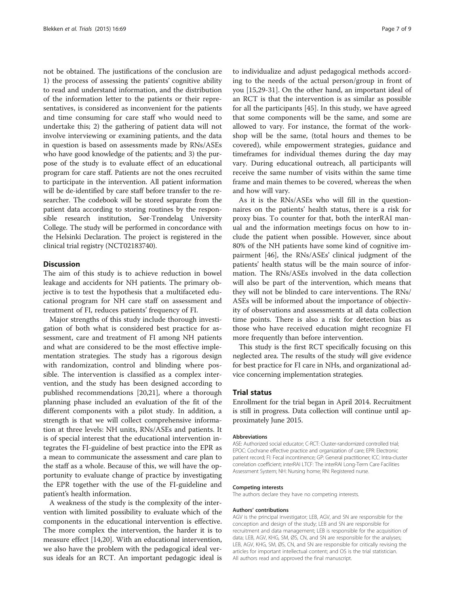not be obtained. The justifications of the conclusion are 1) the process of assessing the patients' cognitive ability to read and understand information, and the distribution of the information letter to the patients or their representatives, is considered as inconvenient for the patients and time consuming for care staff who would need to undertake this; 2) the gathering of patient data will not involve interviewing or examining patients, and the data in question is based on assessments made by RNs/ASEs who have good knowledge of the patients; and 3) the purpose of the study is to evaluate effect of an educational program for care staff. Patients are not the ones recruited to participate in the intervention. All patient information will be de-identified by care staff before transfer to the researcher. The codebook will be stored separate from the patient data according to storing routines by the responsible research institution, Sør-Trøndelag University College. The study will be performed in concordance with the Helsinki Declaration. The project is registered in the clinical trial registry (NCT02183740).

#### **Discussion**

The aim of this study is to achieve reduction in bowel leakage and accidents for NH patients. The primary objective is to test the hypothesis that a multifaceted educational program for NH care staff on assessment and treatment of FI, reduces patients' frequency of FI.

Major strengths of this study include thorough investigation of both what is considered best practice for assessment, care and treatment of FI among NH patients and what are considered to be the most effective implementation strategies. The study has a rigorous design with randomization, control and blinding where possible. The intervention is classified as a complex intervention, and the study has been designed according to published recommendations [\[20,21](#page-7-0)], where a thorough planning phase included an evaluation of the fit of the different components with a pilot study. In addition, a strength is that we will collect comprehensive information at three levels: NH units, RNs/ASEs and patients. It is of special interest that the educational intervention integrates the FI-guideline of best practice into the EPR as a mean to communicate the assessment and care plan to the staff as a whole. Because of this, we will have the opportunity to evaluate change of practice by investigating the EPR together with the use of the FI-guideline and patient's health information.

A weakness of the study is the complexity of the intervention with limited possibility to evaluate which of the components in the educational intervention is effective. The more complex the intervention, the harder it is to measure effect [\[14,20\]](#page-7-0). With an educational intervention, we also have the problem with the pedagogical ideal versus ideals for an RCT. An important pedagogic ideal is

to individualize and adjust pedagogical methods according to the needs of the actual person/group in front of you [[15,29-31\]](#page-7-0). On the other hand, an important ideal of an RCT is that the intervention is as similar as possible for all the participants [[45\]](#page-8-0). In this study, we have agreed that some components will be the same, and some are allowed to vary. For instance, the format of the workshop will be the same, (total hours and themes to be covered), while empowerment strategies, guidance and timeframes for individual themes during the day may vary. During educational outreach, all participants will receive the same number of visits within the same time frame and main themes to be covered, whereas the when and how will vary.

As it is the RNs/ASEs who will fill in the questionnaires on the patients' health status, there is a risk for proxy bias. To counter for that, both the interRAI manual and the information meetings focus on how to include the patient when possible. However, since about 80% of the NH patients have some kind of cognitive impairment [[46\]](#page-8-0), the RNs/ASEs' clinical judgment of the patients' health status will be the main source of information. The RNs/ASEs involved in the data collection will also be part of the intervention, which means that they will not be blinded to care interventions. The RNs/ ASEs will be informed about the importance of objectivity of observations and assessments at all data collection time points. There is also a risk for detection bias as those who have received education might recognize FI more frequently than before intervention.

This study is the first RCT specifically focusing on this neglected area. The results of the study will give evidence for best practice for FI care in NHs, and organizational advice concerning implementation strategies.

#### Trial status

Enrollment for the trial began in April 2014. Recruitment is still in progress. Data collection will continue until approximately June 2015.

#### Abbreviations

ASE: Authorized social educator; C-RCT: Cluster-randomized controlled trial; EPOC: Cochrane effective practice and organization of care; EPR: Electronic patient record; FI: Fecal incontinence; GP: General practitioner; ICC: Intra-cluster correlation coefficient; interRAI LTCF: The interRAI Long-Term Care Facilities Assessment System; NH: Nursing home; RN: Registered nurse.

#### Competing interests

The authors declare they have no competing interests.

#### Authors' contributions

AGV is the principal investigator; LEB, AGV, and SN are responsible for the conception and design of the study; LEB and SN are responsible for recruitment and data management; LEB is responsible for the acquisition of data; LEB, AGV, KHG, SM, ØS, CN, and SN are responsible for the analyses; LEB, AGV, KHG, SM, ØS, CN, and SN are responsible for critically revising the articles for important intellectual content; and OS is the trial statistician. All authors read and approved the final manuscript.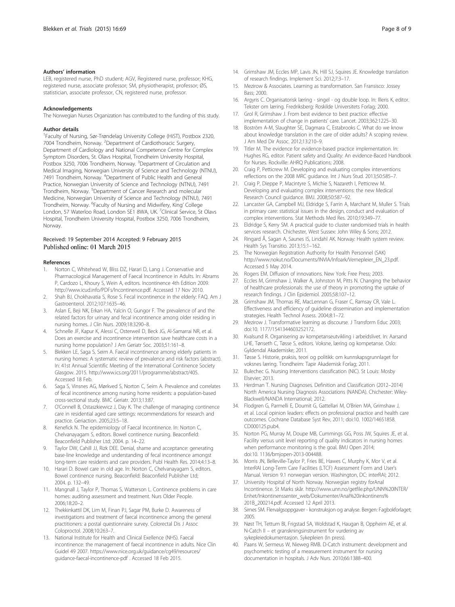#### <span id="page-7-0"></span>Authors' information

LEB, registered nurse, PhD student; AGV, Registered nurse, professor; KHG, registered nurse, associate professor; SM, physiotherapist, professor; ØS, statistician, associate professor, CN, registered nurse, professor.

#### Acknowledgements

The Norwegian Nurses Organization has contributed to the funding of this study.

#### Author details

<sup>1</sup>Faculty of Nursing, Sør-Trøndelag University College (HiST), Postbox 2320, 7004 Trondheim, Norway. <sup>2</sup>Department of Cardiothoracic Surgery, Department of Cardiology and National Competence Centre for Complex Symptom Disorders, St. Olavs Hospital, Trondheim University Hospital, Postbox 3250, 7006 Trondheim, Norway. <sup>3</sup>Department of Circulation and Medical Imaging, Norwegian University of Science and Technology (NTNU), 7491 Trondheim, Norway. <sup>4</sup>Department of Public Health and General Practice, Norwegian University of Science and Technology (NTNU), 7491 Trondheim, Norway. <sup>5</sup>Department of Cancer Research and molecular Medicine, Norwegian University of Science and Technology (NTNU), 7491 Trondheim, Norway. <sup>6</sup>Faculty of Nursing and Midwifery, King' College London, 57 Waterloo Road, London SE1 8WA, UK. <sup>7</sup>Clinical Service, St Olavs Hospital, Trondheim University Hospital, Postbox 3250, 7006 Trondheim, Norway.

# Received: 19 September 2014 Accepted: 9 February 2015 Published online: 01 March 2015

#### References

- 1. Norton C, Whitehead W, Bliss DZ, Harari D, Lang J. Conservative and Pharmacological Management of Faecal Incontinence in Adults. In: Abrams P, Cardozo L, Khoury S, Wein A, editors. Incontinence 4th Edition 2009. <http://www.icud.info/PDFs/Incontinence.pdf>. Accessed 17 Nov 2010.
- 2. Shah BJ, Chokhavatia S, Rose S. Fecal incontinence in the elderly: FAQ. Am J Gastroenterol. 2012;107:1635–46.
- 3. Aslan E, Beji NK, Erkan HA, Yalcin O, Gungor F. The prevalence of and the related factors for urinary and fecal incontinence among older residing in nursing homes. J Clin Nurs. 2009;18:3290–8.
- 4. Schnelle JF, Kapur K, Alessi C, Osterweil D, Beck JG, Al-Samarrai NR, et al. Does an exercise and incontinence intervention save healthcare costs in a nursing home population? J Am Geriatr Soc. 2003;51:161–8.
- 5. Blekken LE, Saga S, Seim A. Faecal incontinence among elderly patients in nursing homes: A systematic review of prevalence and risk factors (abstract). In: 41st Annual Scientific Meeting of the International Continence Society Glasgow. 2015. [http://www.ics.org/2011/programme/abstract/405.](http://www.ics.org/2011/programme/abstract/405) Accessed 18 Feb.
- 6. Saga S, Vinsnes AG, Mørkved S, Norton C, Seim A. Prevalence and correlates of fecal incontinence among nursing home residents: a population-based cross-sectional study. BMC Geriatr. 2013;13:87.
- 7. O'Connell B, Ostaszkiewicz J, Day K. The challenge of managing continence care in residential aged care settings: recommendations for research and practice. Geriaction. 2005;23:5–18.
- 8. Kenefick N. The epidemiology of Faecal Incontinence. In: Norton C, Chelvanayagam S, editors. Bowel continence nursing. Beaconfield: Beaconfield Publisher Ltd; 2004. p. 14–22.
- 9. Taylor DW, Cahill JJ, Rizk DEE. Denial, shame and acceptance: generating base-line knowledge and understanding of fecal incontinence amongst long-term care residents and care providers. Publ Health Res. 2014;4:13–8.
- 10. Harari D. Bowel care in old age. In: Norton C, Chelvanayagam S, editors. Bowel continence nursing. Beaconfield: Beaconfield Publisher Ltd; 2004. p. 132–49.
- 11. Mangnall J, Taylor P, Thomas S, Watterson L. Continence problems in care homes: auditing assessment and treatment. Nurs Older People. 2006;18:20–2.
- 12. Thekkinkattil DK, Lim M, Finan PJ, Sagar PM, Burke D. Awareness of investigations and treatment of faecal incontinence among the general practitioners: a postal questionnaire survey. Colorectal Dis J Assoc Coloproctol. 2008;10:263–7.
- 13. National Institute for Health and Clinical Exellence (NHS). Faecal incontinence: the management of faecal incontinence in adults. Nice Clin Guidel 49 2007. [https://www.nice.org.uk/guidance/cg49/resources/](https://www.nice.org.uk/guidance/cg49/resources/guidance-faecal-incontinence-pdf) [guidance-faecal-incontinence-pdf](https://www.nice.org.uk/guidance/cg49/resources/guidance-faecal-incontinence-pdf) . Accessed 18 Feb 2015.
- 14. Grimshaw JM, Eccles MP, Lavis JN, Hill SJ, Squires JE. Knowledge translation of research findings. Implement Sci. 2012;7:3–17.
- 15. Mezirow & Associates. Learning as transformation. San Fransisco: Jossey Bass; 2000.
- 16. Argyris C. Organisatorisk læring singel og double loop. In: Illeris K, editor. Tekster om læring. Fredriksberg: Roskilde Universitets Forlag; 2000.
- 17. Grol R, Grimshaw J. From best evidence to best practice: effective implementation of change in patients' care. Lancet. 2003;362:1225–30.
- 18. Boström A-M, Slaughter SE, Dagmara C, Estabrooks C. What do we know about knowledge translation in the care of older adults? A scoping review. J Am Med Dir Assoc. 2012;13:210–9.
- 19. Titler M. The evidence for evidence-based practice implementation. In: Hughes RG, editor. Patient safety and Quality: An evidence-Baced Handbook for Nurses. Rockville: AHRQ Publications; 2008.
- 20. Craig P, Petticrew M. Developing and evaluating complex interventions: reflections on the 2008 MRC guidance. Int J Nurs Stud. 2013;50:585–7.
- 21. Craig P, Dieppe P, Macintyre S, Michie S, Nazareth I, Petticrew M. Developing and evaluating complex interventions: the new Medical Research Council guidance. BMJ. 2008;50:587–92.
- 22. Lancaster GA, Campbell MJ, Eldridge S, Farrin A, Marchant M, Muller S. Trials in primary care: statistical issues in the design, conduct and evaluation of complex interventions. Stat Methods Med Res. 2010;19:349–77.
- 23. Eldridge S, Kerry SM. A practical guide to cluster randomised trials in health services research. Chichester, West Sussex: John Wiley & Sons; 2012.
- 24. Ringard Å, Sagan A, Saunes IS, Lindahl AK. Norway: Health system review. Health Sys Transitio. 2013;15:1–162.
- 25. The Norwegian Registration Authority for Health Personnel (SAK) [http://www.nokut.no/Documents/INVIA/Infoark/Vernepleier\\_EN\\_23.pdf.](http://www.nokut.no/Documents/INVIA/Infoark/Vernepleier_EN_23.pdf) Accessed 5 May 2014.
- 26. Rogers EM. Diffusion of innovations. New York: Free Press; 2003.
- 27. Eccles M, Grimshaw J, Walker A, Johnston M, Pitts N. Changing the behavior of healthcare professionals: the use of theory in promoting the uptake of research findings. J Clin Epidemiol. 2005;58:107–12.
- 28. Grimshaw JM, Thomas RE, MacLennan G, Fraser C, Ramsay CR, Vale L. Effectiveness and efficiency of guideline dissemination and implementation strategies. Health Technol Assess. 2004;8:1–72.
- 29. Mezirow J. Transformative learning as discourse. J Transform Educ 2003; doi:10. 1177/1541344603252172.
- 30. Kvalsund R. Organisering av kompetanseutvikling i arbeidslivet. In: Aarsand LHE, Tønseth C, Tøsse S, editors. Voksne, læring og kompetanse. Oslo: Gyldendal Akademiske; 2011.
- 31. Tøsse S. Historie, praksis, teori og politikk: om kunnskapsgrunnlaget for voksnes læring. Trondheim: Tapir Akademisk Forlag; 2011.
- 32. Bulechec G. Nursing Interventions classification (NIC). St Louis: Mosby Elsevier; 2013.
- 33. Herdman T. Nursing Diagnoses. Definition and Classification (2012–2014) North America Nursing Diagnosis Associations (NANDA). Chichester: Wiley-Blackwell/NANDA International; 2012.
- 34. Flodgren G, Parmelli E, Doumit G, Gattellari M, O'Brien MA, Grimshaw J, et al. Local opinion leaders: effects on professional practice and health care outcomes. Cochrane Database Syst Rev, 2011; doi:10. 1002/14651858. CD000125.pub4.
- 35. Norton PG, Murray M, Doupe MB, Cummings GG, Poss JW, Squires JE, et al. Facility versus unit level reporting of quality indicators in nursing homes when performance monitoring is the goal. BMJ Open 2014; doi:10. 1136/bmjopen-2013-004488.
- 36. Morris JN, Belleville-Taylor P, Fries BE, Hawes C, Murphy K, Mor V, et al. InterRAI Long-Term Care Facilities (LTCF) Assessment Form and User's Manual. Version 9.1 norwegian version. Washington, DC: interRAI; 2012.
- 37. University Hospital of North Norway. Norwegian registry forAnal Incontinence. St Marks skår. [http://www.unn.no/getfile.php/UNN%20INTER/](http://www.unn.no/getfile.php/UNN%20INTER/Enhet/Inkontinenssenter_web/Dokumenter/Anal%20inkontinens%201B_200214.pdf) [Enhet/Inkontinenssenter\\_web/Dokumenter/Anal%20inkontinens%](http://www.unn.no/getfile.php/UNN%20INTER/Enhet/Inkontinenssenter_web/Dokumenter/Anal%20inkontinens%201B_200214.pdf) [201B\\_200214.pdf](http://www.unn.no/getfile.php/UNN%20INTER/Enhet/Inkontinenssenter_web/Dokumenter/Anal%20inkontinens%201B_200214.pdf). Accessed 12 April 2013.
- 38. Sirnes SM. Flervalgsoppgaver konstruksjon og analyse. Bergen: Fagbokforlaget; 2005.
- 39. Nøst TH, Tettum BI, Frigstad SA, Woldstad K, Haugan B, Oppheim AE, et al. N-Catch II – et granskningsinstrument for vurdering av sykepleiedokumentasjon. Sykepleien (In press).
- 40. Paans W, Sermeus W, Nieweg RMB. D-Catch instrument: development and psychometric testing of a measurement instrument for nursing documentation in hospitals. J Adv Nurs. 2010;66:1388–400.